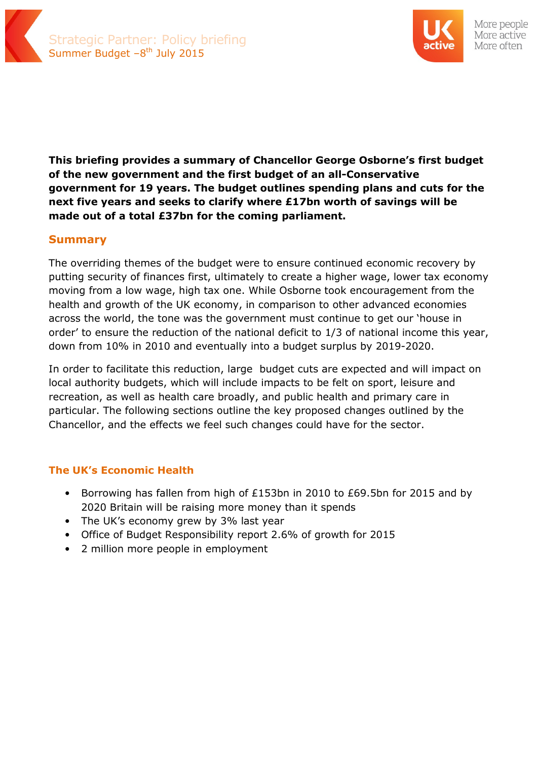



**This briefing provides a summary of Chancellor George Osborne's first budget of the new government and the first budget of an all-Conservative government for 19 years. The budget outlines spending plans and cuts for the next five years and seeks to clarify where £17bn worth of savings will be made out of a total £37bn for the coming parliament.** 

### **Summary**

The overriding themes of the budget were to ensure continued economic recovery by putting security of finances first, ultimately to create a higher wage, lower tax economy moving from a low wage, high tax one. While Osborne took encouragement from the health and growth of the UK economy, in comparison to other advanced economies across the world, the tone was the government must continue to get our 'house in order' to ensure the reduction of the national deficit to 1/3 of national income this year, down from 10% in 2010 and eventually into a budget surplus by 2019-2020.

In order to facilitate this reduction, large budget cuts are expected and will impact on local authority budgets, which will include impacts to be felt on sport, leisure and recreation, as well as health care broadly, and public health and primary care in particular. The following sections outline the key proposed changes outlined by the Chancellor, and the effects we feel such changes could have for the sector.

### **The UK's Economic Health**

- Borrowing has fallen from high of £153bn in 2010 to £69.5bn for 2015 and by 2020 Britain will be raising more money than it spends
- The UK's economy grew by 3% last year
- Office of Budget Responsibility report 2.6% of growth for 2015
- 2 million more people in employment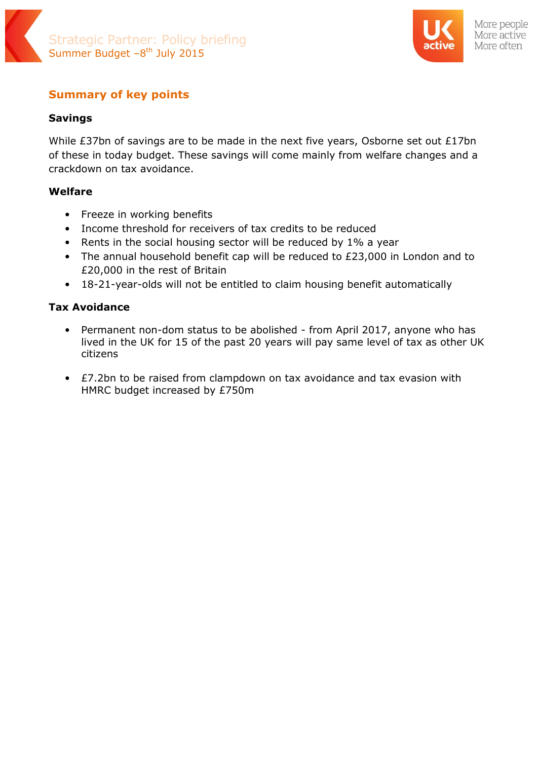



# **Summary of key points**

# **Savings**

While £37bn of savings are to be made in the next five years, Osborne set out £17bn of these in today budget. These savings will come mainly from welfare changes and a crackdown on tax avoidance.

# **Welfare**

- Freeze in working benefits
- Income threshold for receivers of tax credits to be reduced
- Rents in the social housing sector will be reduced by 1% a year
- The annual household benefit cap will be reduced to £23,000 in London and to £20,000 in the rest of Britain
- 18-21-year-olds will not be entitled to claim housing benefit automatically

# **Tax Avoidance**

- Permanent non-dom status to be abolished from April 2017, anyone who has lived in the UK for 15 of the past 20 years will pay same level of tax as other UK citizens
- £7.2bn to be raised from clampdown on tax avoidance and tax evasion with HMRC budget increased by £750m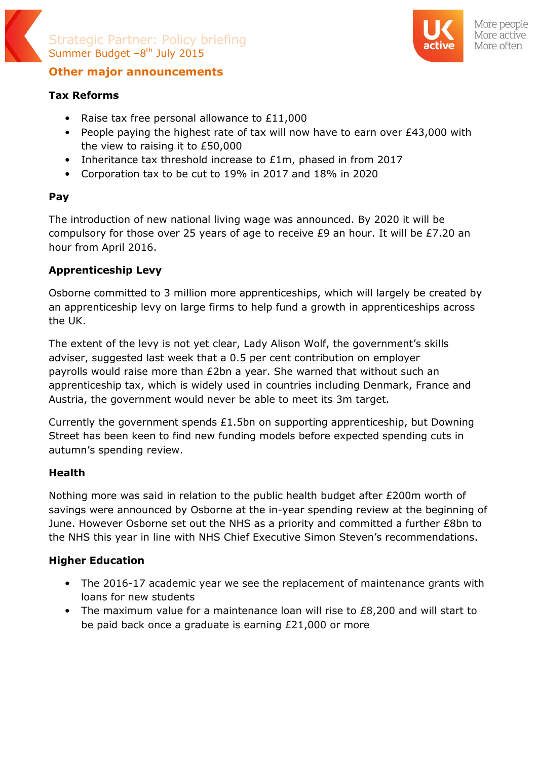



More people More active More often

# **Other major announcements**

# **Tax Reforms**

- Raise tax free personal allowance to £11,000
- People paying the highest rate of tax will now have to earn over £43,000 with the view to raising it to £50,000
- Inheritance tax threshold increase to £1m, phased in from 2017
- Corporation tax to be cut to 19% in 2017 and 18% in 2020

## **Pay**

The introduction of new national living wage was announced. By 2020 it will be compulsory for those over 25 years of age to receive £9 an hour. It will be £7.20 an hour from April 2016.

# **Apprenticeship Levy**

Osborne committed to 3 million more apprenticeships, which will largely be created by an apprenticeship levy on large firms to help fund a growth in apprenticeships across the UK.

The extent of the levy is not yet clear, Lady Alison Wolf, the government's skills adviser, suggested last week that a 0.5 per cent contribution on employer payrolls would raise more than £2bn a year. She warned that without such an apprenticeship tax, which is widely used in countries including Denmark, France and Austria, the government would never be able to meet its 3m target.

Currently the government spends £1.5bn on supporting apprenticeship, but Downing Street has been keen to find new funding models before expected spending cuts in autumn's spending review.

### **Health**

Nothing more was said in relation to the public health budget after £200m worth of savings were announced by Osborne at the in-year spending review at the beginning of June. However Osborne set out the NHS as a priority and committed a further £8bn to the NHS this year in line with NHS Chief Executive Simon Steven's recommendations.

### **Higher Education**

- The 2016-17 academic year we see the replacement of maintenance grants with loans for new students
- The maximum value for a maintenance loan will rise to £8,200 and will start to be paid back once a graduate is earning £21,000 or more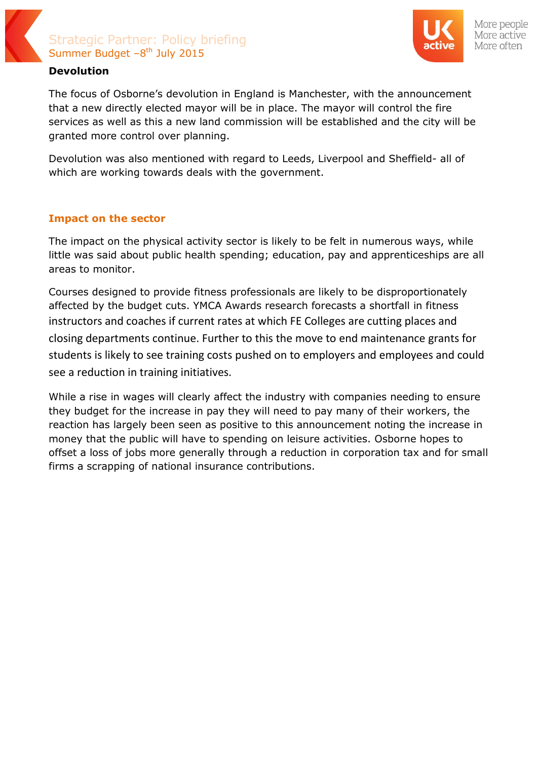

# Strategic Partner: Policy briefing Summer Budget  $-8<sup>th</sup>$  July 2015



#### More people More active More often

### **Devolution**

The focus of Osborne's devolution in England is Manchester, with the announcement that a new directly elected mayor will be in place. The mayor will control the fire services as well as this a new land commission will be established and the city will be granted more control over planning.

Devolution was also mentioned with regard to Leeds, Liverpool and Sheffield- all of which are working towards deals with the government.

### **Impact on the sector**

The impact on the physical activity sector is likely to be felt in numerous ways, while little was said about public health spending; education, pay and apprenticeships are all areas to monitor.

Courses designed to provide fitness professionals are likely to be disproportionately affected by the budget cuts. YMCA Awards research forecasts a shortfall in fitness instructors and coaches if current rates at which FE Colleges are cutting places and closing departments continue. Further to this the move to end maintenance grants for students is likely to see training costs pushed on to employers and employees and could see a reduction in training initiatives.

While a rise in wages will clearly affect the industry with companies needing to ensure they budget for the increase in pay they will need to pay many of their workers, the reaction has largely been seen as positive to this announcement noting the increase in money that the public will have to spending on leisure activities. Osborne hopes to offset a loss of jobs more generally through a reduction in corporation tax and for small firms a scrapping of national insurance contributions.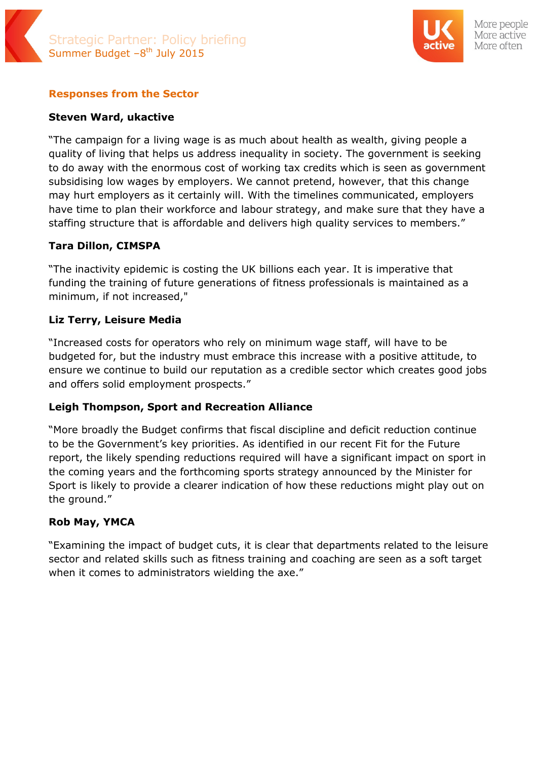# Strategic Partner: Policy briefing Summer Budget  $-8<sup>th</sup>$  July 2015



More people More active More often

### **Responses from the Sector**

### **Steven Ward, ukactive**

"The campaign for a living wage is as much about health as wealth, giving people a quality of living that helps us address inequality in society. The government is seeking to do away with the enormous cost of working tax credits which is seen as government subsidising low wages by employers. We cannot pretend, however, that this change may hurt employers as it certainly will. With the timelines communicated, employers have time to plan their workforce and labour strategy, and make sure that they have a staffing structure that is affordable and delivers high quality services to members."

### **Tara Dillon, CIMSPA**

"The inactivity epidemic is costing the UK billions each year. It is imperative that funding the training of future generations of fitness professionals is maintained as a minimum, if not increased,"

### **Liz Terry, Leisure Media**

"Increased costs for operators who rely on minimum wage staff, will have to be budgeted for, but the industry must embrace this increase with a positive attitude, to ensure we continue to build our reputation as a credible sector which creates good jobs and offers solid employment prospects."

### **Leigh Thompson, Sport and Recreation Alliance**

"More broadly the Budget confirms that fiscal discipline and deficit reduction continue to be the Government's key priorities. As identified in our recent Fit for the Future report, the likely spending reductions required will have a significant impact on sport in the coming years and the forthcoming sports strategy announced by the Minister for Sport is likely to provide a clearer indication of how these reductions might play out on the ground."

### **Rob May, YMCA**

"Examining the impact of budget cuts, it is clear that departments related to the leisure sector and related skills such as fitness training and coaching are seen as a soft target when it comes to administrators wielding the axe."